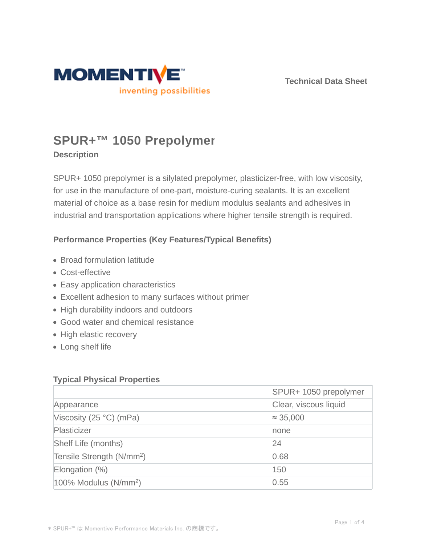

**Technical Data Sheet**

# **SPUR+™ 1050 Prepolymer**

## **Description**

SPUR+ 1050 prepolymer is a silylated prepolymer, plasticizer-free, with low viscosity, for use in the manufacture of one-part, moisture-curing sealants. It is an excellent material of choice as a base resin for medium modulus sealants and adhesives in industrial and transportation applications where higher tensile strength is required.

## **Performance Properties (Key Features/Typical Benefits)**

- Broad formulation latitude
- Cost-effective
- Easy application characteristics
- Excellent adhesion to many surfaces without primer
- High durability indoors and outdoors
- Good water and chemical resistance
- High elastic recovery
- Long shelf life

### **Typical Physical Properties**

|                                       | SPUR+ 1050 prepolymer |  |
|---------------------------------------|-----------------------|--|
| Appearance                            | Clear, viscous liquid |  |
| Viscosity (25 $\degree$ C) (mPa)      | $\approx 35,000$      |  |
| Plasticizer                           | none                  |  |
| Shelf Life (months)                   | 24                    |  |
| Tensile Strength (N/mm <sup>2</sup> ) | 0.68                  |  |
| Elongation $(\%)$                     | 150                   |  |
| $100\%$ Modulus (N/mm <sup>2</sup> )  | 0.55                  |  |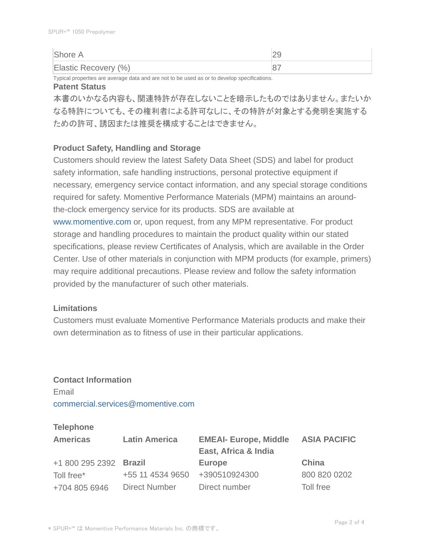| Shore A              |  |
|----------------------|--|
| Elastic Recovery (%) |  |

Typical properties are average data and are not to be used as or to develop specifications.

#### **Patent Status**

本書のいかなる内容も、関連特許が存在しないことを暗示したものではありません。またいか なる特許についても、その権利者による許可なしに、その特許が対象とする発明を実施する ための許可、誘因または推奨を構成することはできません。

#### **Product Safety, Handling and Storage**

Customers should review the latest Safety Data Sheet (SDS) and label for product safety information, safe handling instructions, personal protective equipment if necessary, emergency service contact information, and any special storage conditions required for safety. Momentive Performance Materials (MPM) maintains an aroundthe-clock emergency service for its products. SDS are available at www.momentive.com or, upon request, from any MPM representative. For product storage and handling procedures to maintain the product quality within our stated specifications, please review Certificates of Analysis, which are available in the Order Center. Use of other materials in conjunction with MPM products (for example, primers) may require additional precautions. Please review and follow the safety information provided by the manufacturer of such other materials.

#### **Limitations**

Customers must evaluate Momentive Performance Materials products and make their own determination as to fitness of use in their particular applications.

## **Contact Information** Email commercial.services@momentive.com

### **Telephone**

| <b>Americas</b>        | <b>Latin America</b> | <b>EMEAI- Europe, Middle</b><br>East, Africa & India | <b>ASIA PACIFIC</b> |
|------------------------|----------------------|------------------------------------------------------|---------------------|
| +1 800 295 2392 Brazil |                      | <b>Europe</b>                                        | China               |
| Toll free*             | +55 11 4534 9650     | +390510924300                                        | 800 820 0202        |
| +704 805 6946          | <b>Direct Number</b> | Direct number                                        | Toll free           |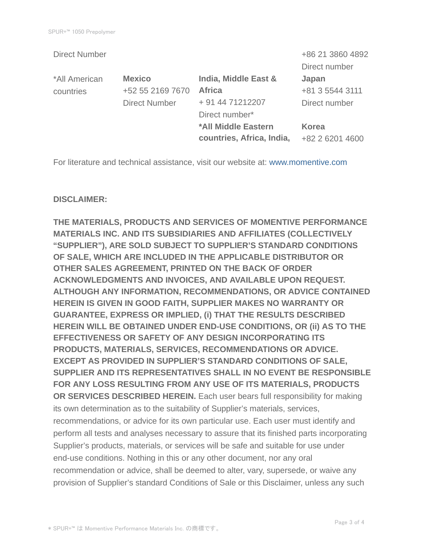|                      |                           | +86 21 3860 4892 |
|----------------------|---------------------------|------------------|
|                      |                           | Direct number    |
| <b>Mexico</b>        | India, Middle East &      | Japan            |
| +52 55 2169 7670     | <b>Africa</b>             | +81 3 5544 3111  |
| <b>Direct Number</b> | + 91 44 71212207          | Direct number    |
|                      | Direct number*            |                  |
|                      | *All Middle Eastern       | <b>Korea</b>     |
|                      | countries, Africa, India, | +82 2 6201 4600  |
|                      |                           |                  |

For literature and technical assistance, visit our website at: www.momentive.com

#### **DISCLAIMER:**

**THE MATERIALS, PRODUCTS AND SERVICES OF MOMENTIVE PERFORMANCE MATERIALS INC. AND ITS SUBSIDIARIES AND AFFILIATES (COLLECTIVELY "SUPPLIER"), ARE SOLD SUBJECT TO SUPPLIER'S STANDARD CONDITIONS OF SALE, WHICH ARE INCLUDED IN THE APPLICABLE DISTRIBUTOR OR OTHER SALES AGREEMENT, PRINTED ON THE BACK OF ORDER ACKNOWLEDGMENTS AND INVOICES, AND AVAILABLE UPON REQUEST. ALTHOUGH ANY INFORMATION, RECOMMENDATIONS, OR ADVICE CONTAINED HEREIN IS GIVEN IN GOOD FAITH, SUPPLIER MAKES NO WARRANTY OR GUARANTEE, EXPRESS OR IMPLIED, (i) THAT THE RESULTS DESCRIBED HEREIN WILL BE OBTAINED UNDER END-USE CONDITIONS, OR (ii) AS TO THE EFFECTIVENESS OR SAFETY OF ANY DESIGN INCORPORATING ITS PRODUCTS, MATERIALS, SERVICES, RECOMMENDATIONS OR ADVICE. EXCEPT AS PROVIDED IN SUPPLIER'S STANDARD CONDITIONS OF SALE, SUPPLIER AND ITS REPRESENTATIVES SHALL IN NO EVENT BE RESPONSIBLE FOR ANY LOSS RESULTING FROM ANY USE OF ITS MATERIALS, PRODUCTS OR SERVICES DESCRIBED HEREIN.** Each user bears full responsibility for making its own determination as to the suitability of Supplier's materials, services, recommendations, or advice for its own particular use. Each user must identify and perform all tests and analyses necessary to assure that its finished parts incorporating Supplier's products, materials, or services will be safe and suitable for use under end-use conditions. Nothing in this or any other document, nor any oral recommendation or advice, shall be deemed to alter, vary, supersede, or waive any provision of Supplier's standard Conditions of Sale or this Disclaimer, unless any such